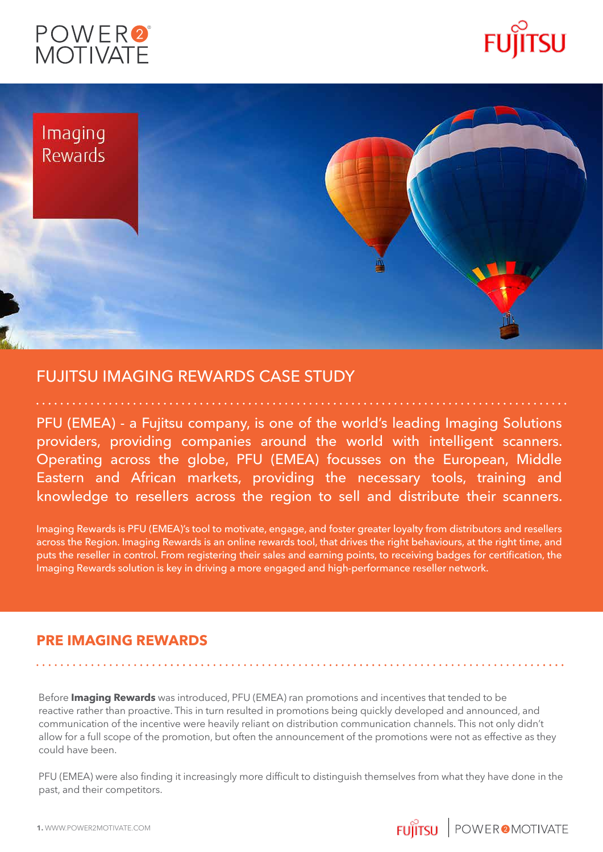





## FUJITSU IMAGING REWARDS CASE STUDY

PFU (EMEA) - a Fujitsu company, is one of the world's leading Imaging Solutions providers, providing companies around the world with intelligent scanners. Operating across the globe, PFU (EMEA) focusses on the European, Middle Eastern and African markets, providing the necessary tools, training and knowledge to resellers across the region to sell and distribute their scanners.

Imaging Rewards is PFU (EMEA)'s tool to motivate, engage, and foster greater loyalty from distributors and resellers across the Region. Imaging Rewards is an online rewards tool, that drives the right behaviours, at the right time, and puts the reseller in control. From registering their sales and earning points, to receiving badges for certification, the Imaging Rewards solution is key in driving a more engaged and high-performance reseller network.

### **PRE IMAGING REWARDS**

Before **Imaging Rewards** was introduced, PFU (EMEA) ran promotions and incentives that tended to be reactive rather than proactive. This in turn resulted in promotions being quickly developed and announced, and communication of the incentive were heavily reliant on distribution communication channels. This not only didn't allow for a full scope of the promotion, but often the announcement of the promotions were not as effective as they could have been.

PFU (EMEA) were also finding it increasingly more difficult to distinguish themselves from what they have done in the past, and their competitors.

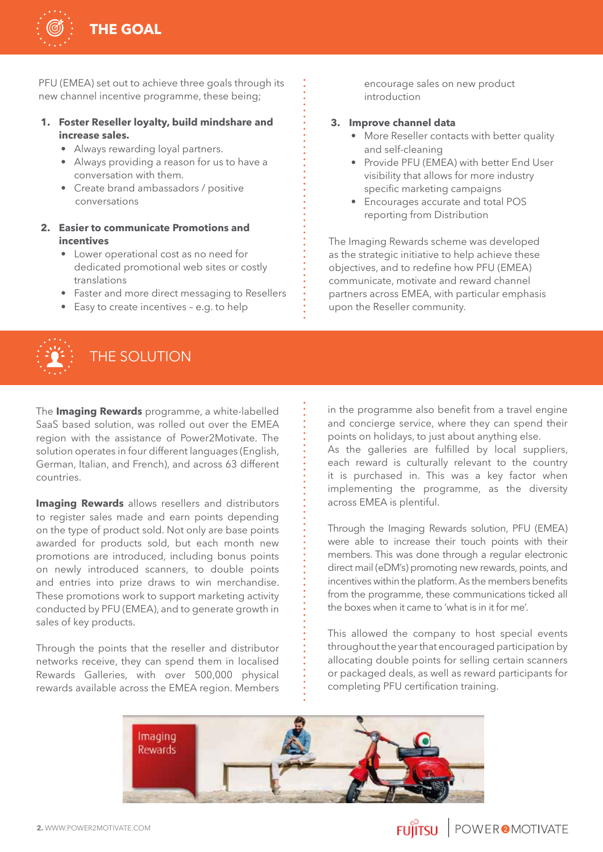

PFU (EMEA) set out to achieve three goals through its new channel incentive programme, these being;

#### **1. Foster Reseller loyalty, build mindshare and increase sales.**

- Always rewarding loyal partners.
- Always providing a reason for us to have a conversation with them.
- Create brand ambassadors / positive conversations
- **2. Easier to communicate Promotions and incentives**
	- Lower operational cost as no need for dedicated promotional web sites or costly translations
	- Faster and more direct messaging to Resellers
	- Easy to create incentives e.g. to help

# THE SOLUTION

The **Imaging Rewards** programme, a white-labelled SaaS based solution, was rolled out over the EMEA region with the assistance of Power2Motivate. The solution operates in four different languages (English, German, Italian, and French), and across 63 different countries.

**Imaging Rewards** allows resellers and distributors to register sales made and earn points depending on the type of product sold. Not only are base points awarded for products sold, but each month new promotions are introduced, including bonus points on newly introduced scanners, to double points and entries into prize draws to win merchandise. These promotions work to support marketing activity conducted by PFU (EMEA), and to generate growth in sales of key products.

Through the points that the reseller and distributor networks receive, they can spend them in localised Rewards Galleries, with over 500,000 physical rewards available across the EMEA region. Members

encourage sales on new product introduction

#### **3. Improve channel data**

- More Reseller contacts with better quality and self-cleaning
- Provide PFU (EMEA) with better End User visibility that allows for more industry specific marketing campaigns
- Encourages accurate and total POS reporting from Distribution

The Imaging Rewards scheme was developed as the strategic initiative to help achieve these objectives, and to redefine how PFU (EMEA) communicate, motivate and reward channel partners across EMEA, with particular emphasis upon the Reseller community.

in the programme also benefit from a travel engine and concierge service, where they can spend their points on holidays, to just about anything else.

As the galleries are fulfilled by local suppliers, each reward is culturally relevant to the country it is purchased in. This was a key factor when implementing the programme, as the diversity across EMEA is plentiful.

Through the Imaging Rewards solution, PFU (EMEA) were able to increase their touch points with their members. This was done through a regular electronic direct mail (eDM's) promoting new rewards, points, and incentives within the platform. As the members benefits from the programme, these communications ticked all the boxes when it came to 'what is in it for me'.

This allowed the company to host special events throughout the year that encouraged participation by allocating double points for selling certain scanners or packaged deals, as well as reward participants for completing PFU certification training.